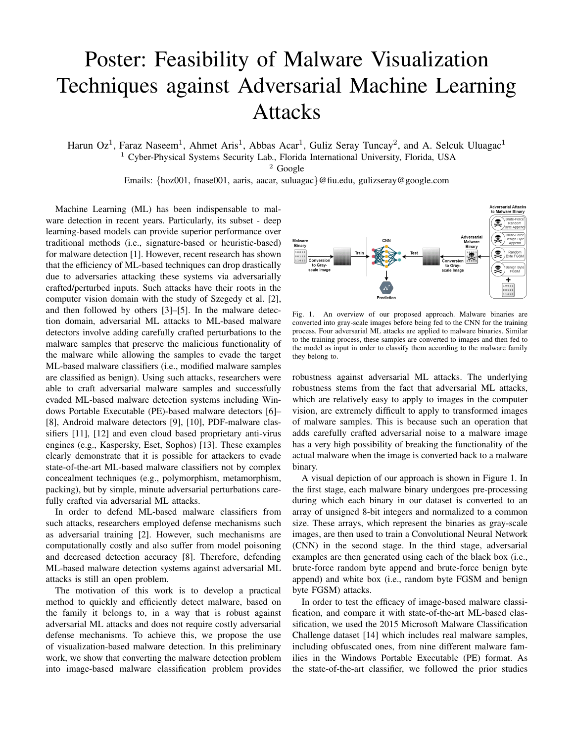## Poster: Feasibility of Malware Visualization Techniques against Adversarial Machine Learning Attacks

Harun Oz<sup>1</sup>, Faraz Naseem<sup>1</sup>, Ahmet Aris<sup>1</sup>, Abbas Acar<sup>1</sup>, Guliz Seray Tuncay<sup>2</sup>, and A. Selcuk Uluagac<sup>1</sup> <sup>1</sup> Cyber-Physical Systems Security Lab., Florida International University, Florida, USA

 $2$  Google

Emails: {hoz001, fnase001, aaris, aacar, suluagac}@fiu.edu, gulizseray@google.com

Machine Learning (ML) has been indispensable to malware detection in recent years. Particularly, its subset - deep learning-based models can provide superior performance over traditional methods (i.e., signature-based or heuristic-based) for malware detection [1]. However, recent research has shown that the efficiency of ML-based techniques can drop drastically due to adversaries attacking these systems via adversarially crafted/perturbed inputs. Such attacks have their roots in the computer vision domain with the study of Szegedy et al. [2], and then followed by others [3]–[5]. In the malware detection domain, adversarial ML attacks to ML-based malware detectors involve adding carefully crafted perturbations to the malware samples that preserve the malicious functionality of the malware while allowing the samples to evade the target ML-based malware classifiers (i.e., modified malware samples are classified as benign). Using such attacks, researchers were able to craft adversarial malware samples and successfully evaded ML-based malware detection systems including Windows Portable Executable (PE)-based malware detectors [6]– [8], Android malware detectors [9], [10], PDF-malware classifiers [11], [12] and even cloud based proprietary anti-virus engines (e.g., Kaspersky, Eset, Sophos) [13]. These examples clearly demonstrate that it is possible for attackers to evade state-of-the-art ML-based malware classifiers not by complex concealment techniques (e.g., polymorphism, metamorphism, packing), but by simple, minute adversarial perturbations carefully crafted via adversarial ML attacks.

In order to defend ML-based malware classifiers from such attacks, researchers employed defense mechanisms such as adversarial training [2]. However, such mechanisms are computationally costly and also suffer from model poisoning and decreased detection accuracy [8]. Therefore, defending ML-based malware detection systems against adversarial ML attacks is still an open problem.

The motivation of this work is to develop a practical method to quickly and efficiently detect malware, based on the family it belongs to, in a way that is robust against adversarial ML attacks and does not require costly adversarial defense mechanisms. To achieve this, we propose the use of visualization-based malware detection. In this preliminary work, we show that converting the malware detection problem into image-based malware classification problem provides



Fig. 1. An overview of our proposed approach. Malware binaries are converted into gray-scale images before being fed to the CNN for the training process. Four adversarial ML attacks are applied to malware binaries. Similar to the training process, these samples are converted to images and then fed to the model as input in order to classify them according to the malware family they belong to.

robustness against adversarial ML attacks. The underlying robustness stems from the fact that adversarial ML attacks, which are relatively easy to apply to images in the computer vision, are extremely difficult to apply to transformed images of malware samples. This is because such an operation that adds carefully crafted adversarial noise to a malware image has a very high possibility of breaking the functionality of the actual malware when the image is converted back to a malware binary.

A visual depiction of our approach is shown in Figure 1. In the first stage, each malware binary undergoes pre-processing during which each binary in our dataset is converted to an array of unsigned 8-bit integers and normalized to a common size. These arrays, which represent the binaries as gray-scale images, are then used to train a Convolutional Neural Network (CNN) in the second stage. In the third stage, adversarial examples are then generated using each of the black box (i.e., brute-force random byte append and brute-force benign byte append) and white box (i.e., random byte FGSM and benign byte FGSM) attacks.

In order to test the efficacy of image-based malware classification, and compare it with state-of-the-art ML-based classification, we used the 2015 Microsoft Malware Classification Challenge dataset [14] which includes real malware samples, including obfuscated ones, from nine different malware families in the Windows Portable Executable (PE) format. As the state-of-the-art classifier, we followed the prior studies